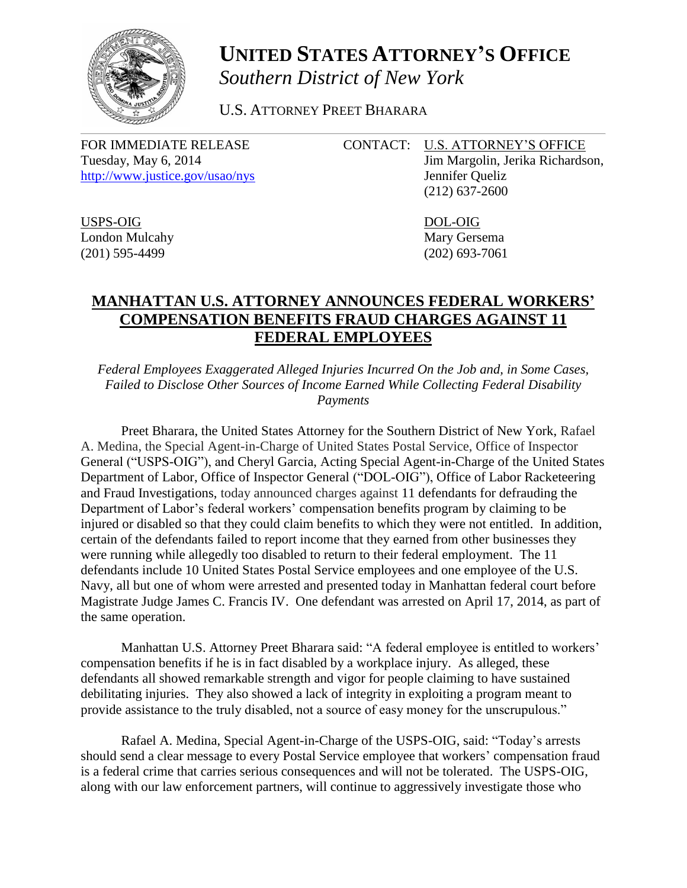

## **UNITED STATES ATTORNEY'S OFFICE** *Southern District of New York*

U.S. ATTORNEY PREET BHARARA

Tuesday, May 6, 2014 Jim Margolin, Jerika Richardson, <http://www.justice.gov/usao/nys> Jennifer Queliz

FOR IMMEDIATE RELEASE CONTACT: U.S. ATTORNEY'S OFFICE

(212) 637-2600

USPS-OIG DOL-OIG London Mulcahy Mary Gersema (201) 595-4499 (202) 693-7061

## **MANHATTAN U.S. ATTORNEY ANNOUNCES FEDERAL WORKERS' COMPENSATION BENEFITS FRAUD CHARGES AGAINST 11 FEDERAL EMPLOYEES**

*Federal Employees Exaggerated Alleged Injuries Incurred On the Job and, in Some Cases, Failed to Disclose Other Sources of Income Earned While Collecting Federal Disability Payments*

Preet Bharara, the United States Attorney for the Southern District of New York, Rafael A. Medina, the Special Agent-in-Charge of United States Postal Service, Office of Inspector General ("USPS-OIG"), and Cheryl Garcia, Acting Special Agent-in-Charge of the United States Department of Labor, Office of Inspector General ("DOL-OIG"), Office of Labor Racketeering and Fraud Investigations, today announced charges against 11 defendants for defrauding the Department of Labor's federal workers' compensation benefits program by claiming to be injured or disabled so that they could claim benefits to which they were not entitled. In addition, certain of the defendants failed to report income that they earned from other businesses they were running while allegedly too disabled to return to their federal employment. The 11 defendants include 10 United States Postal Service employees and one employee of the U.S. Navy, all but one of whom were arrested and presented today in Manhattan federal court before Magistrate Judge James C. Francis IV. One defendant was arrested on April 17, 2014, as part of the same operation.

Manhattan U.S. Attorney Preet Bharara said: "A federal employee is entitled to workers' compensation benefits if he is in fact disabled by a workplace injury. As alleged, these defendants all showed remarkable strength and vigor for people claiming to have sustained debilitating injuries. They also showed a lack of integrity in exploiting a program meant to provide assistance to the truly disabled, not a source of easy money for the unscrupulous."

Rafael A. Medina, Special Agent-in-Charge of the USPS-OIG, said: "Today's arrests should send a clear message to every Postal Service employee that workers' compensation fraud is a federal crime that carries serious consequences and will not be tolerated. The USPS-OIG, along with our law enforcement partners, will continue to aggressively investigate those who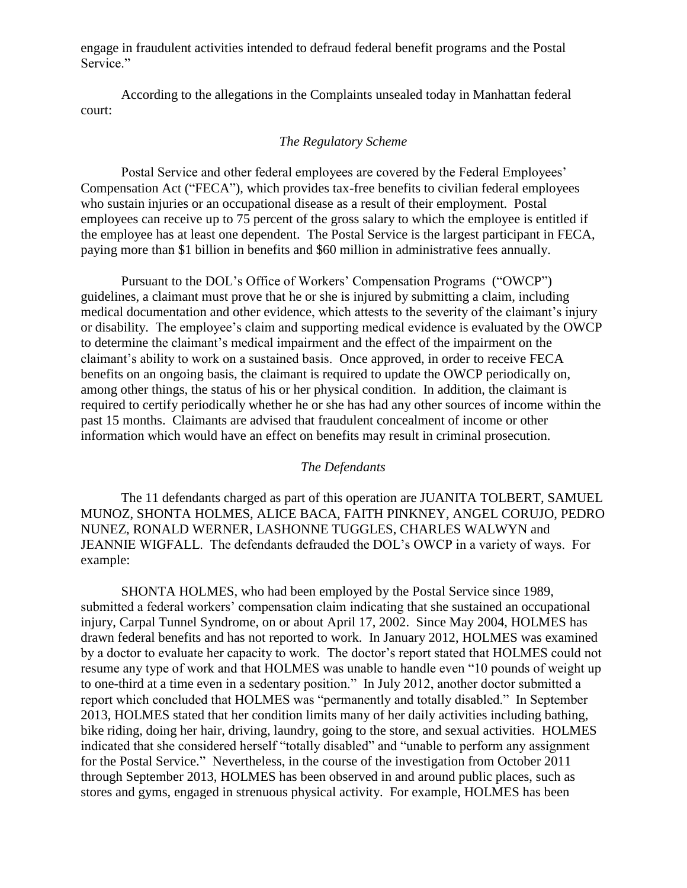engage in fraudulent activities intended to defraud federal benefit programs and the Postal Service."

According to the allegations in the Complaints unsealed today in Manhattan federal court:

## *The Regulatory Scheme*

Postal Service and other federal employees are covered by the Federal Employees' Compensation Act ("FECA"), which provides tax-free benefits to civilian federal employees who sustain injuries or an occupational disease as a result of their employment. Postal employees can receive up to 75 percent of the gross salary to which the employee is entitled if the employee has at least one dependent. The Postal Service is the largest participant in FECA, paying more than \$1 billion in benefits and \$60 million in administrative fees annually.

Pursuant to the DOL's Office of Workers' Compensation Programs ("OWCP") guidelines, a claimant must prove that he or she is injured by submitting a claim, including medical documentation and other evidence, which attests to the severity of the claimant's injury or disability. The employee's claim and supporting medical evidence is evaluated by the OWCP to determine the claimant's medical impairment and the effect of the impairment on the claimant's ability to work on a sustained basis. Once approved, in order to receive FECA benefits on an ongoing basis, the claimant is required to update the OWCP periodically on, among other things, the status of his or her physical condition. In addition, the claimant is required to certify periodically whether he or she has had any other sources of income within the past 15 months. Claimants are advised that fraudulent concealment of income or other information which would have an effect on benefits may result in criminal prosecution.

## *The Defendants*

The 11 defendants charged as part of this operation are JUANITA TOLBERT, SAMUEL MUNOZ, SHONTA HOLMES, ALICE BACA, FAITH PINKNEY, ANGEL CORUJO, PEDRO NUNEZ, RONALD WERNER, LASHONNE TUGGLES, CHARLES WALWYN and JEANNIE WIGFALL. The defendants defrauded the DOL's OWCP in a variety of ways. For example:

SHONTA HOLMES, who had been employed by the Postal Service since 1989, submitted a federal workers' compensation claim indicating that she sustained an occupational injury, Carpal Tunnel Syndrome, on or about April 17, 2002. Since May 2004, HOLMES has drawn federal benefits and has not reported to work. In January 2012, HOLMES was examined by a doctor to evaluate her capacity to work. The doctor's report stated that HOLMES could not resume any type of work and that HOLMES was unable to handle even "10 pounds of weight up to one-third at a time even in a sedentary position." In July 2012, another doctor submitted a report which concluded that HOLMES was "permanently and totally disabled." In September 2013, HOLMES stated that her condition limits many of her daily activities including bathing, bike riding, doing her hair, driving, laundry, going to the store, and sexual activities. HOLMES indicated that she considered herself "totally disabled" and "unable to perform any assignment for the Postal Service." Nevertheless, in the course of the investigation from October 2011 through September 2013, HOLMES has been observed in and around public places, such as stores and gyms, engaged in strenuous physical activity. For example, HOLMES has been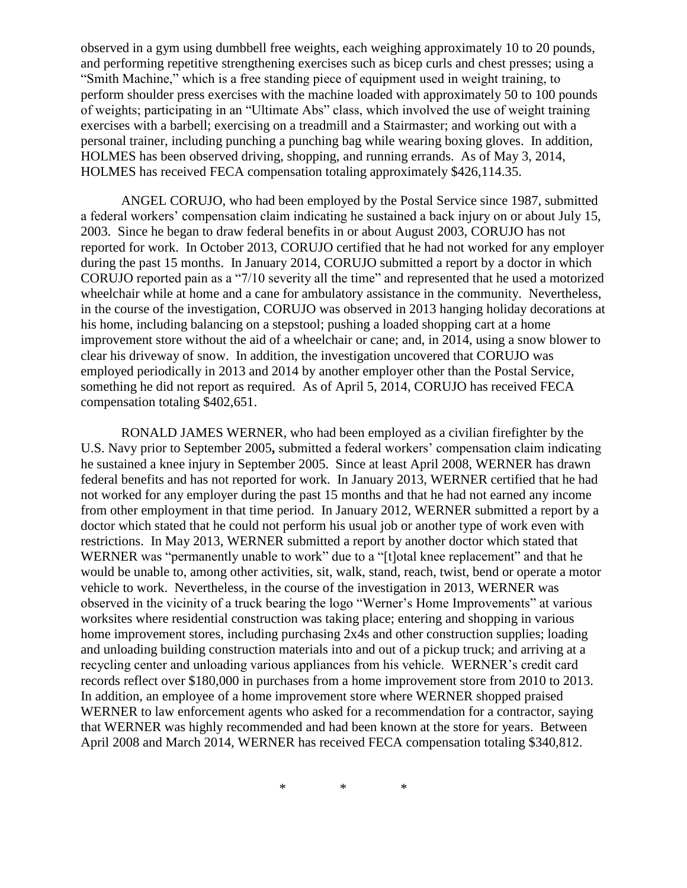observed in a gym using dumbbell free weights, each weighing approximately 10 to 20 pounds, and performing repetitive strengthening exercises such as bicep curls and chest presses; using a "Smith Machine," which is a free standing piece of equipment used in weight training, to perform shoulder press exercises with the machine loaded with approximately 50 to 100 pounds of weights; participating in an "Ultimate Abs" class, which involved the use of weight training exercises with a barbell; exercising on a treadmill and a Stairmaster; and working out with a personal trainer, including punching a punching bag while wearing boxing gloves. In addition, HOLMES has been observed driving, shopping, and running errands. As of May 3, 2014, HOLMES has received FECA compensation totaling approximately \$426,114.35.

ANGEL CORUJO, who had been employed by the Postal Service since 1987, submitted a federal workers' compensation claim indicating he sustained a back injury on or about July 15, 2003. Since he began to draw federal benefits in or about August 2003, CORUJO has not reported for work. In October 2013, CORUJO certified that he had not worked for any employer during the past 15 months. In January 2014, CORUJO submitted a report by a doctor in which CORUJO reported pain as a "7/10 severity all the time" and represented that he used a motorized wheelchair while at home and a cane for ambulatory assistance in the community. Nevertheless, in the course of the investigation, CORUJO was observed in 2013 hanging holiday decorations at his home, including balancing on a stepstool; pushing a loaded shopping cart at a home improvement store without the aid of a wheelchair or cane; and, in 2014, using a snow blower to clear his driveway of snow. In addition, the investigation uncovered that CORUJO was employed periodically in 2013 and 2014 by another employer other than the Postal Service, something he did not report as required. As of April 5, 2014, CORUJO has received FECA compensation totaling \$402,651.

RONALD JAMES WERNER, who had been employed as a civilian firefighter by the U.S. Navy prior to September 2005**,** submitted a federal workers' compensation claim indicating he sustained a knee injury in September 2005. Since at least April 2008, WERNER has drawn federal benefits and has not reported for work. In January 2013, WERNER certified that he had not worked for any employer during the past 15 months and that he had not earned any income from other employment in that time period. In January 2012, WERNER submitted a report by a doctor which stated that he could not perform his usual job or another type of work even with restrictions. In May 2013, WERNER submitted a report by another doctor which stated that WERNER was "permanently unable to work" due to a "[t]otal knee replacement" and that he would be unable to, among other activities, sit, walk, stand, reach, twist, bend or operate a motor vehicle to work. Nevertheless, in the course of the investigation in 2013, WERNER was observed in the vicinity of a truck bearing the logo "Werner's Home Improvements" at various worksites where residential construction was taking place; entering and shopping in various home improvement stores, including purchasing 2x4s and other construction supplies; loading and unloading building construction materials into and out of a pickup truck; and arriving at a recycling center and unloading various appliances from his vehicle. WERNER's credit card records reflect over \$180,000 in purchases from a home improvement store from 2010 to 2013. In addition, an employee of a home improvement store where WERNER shopped praised WERNER to law enforcement agents who asked for a recommendation for a contractor, saying that WERNER was highly recommended and had been known at the store for years. Between April 2008 and March 2014, WERNER has received FECA compensation totaling \$340,812.

\* \* \*